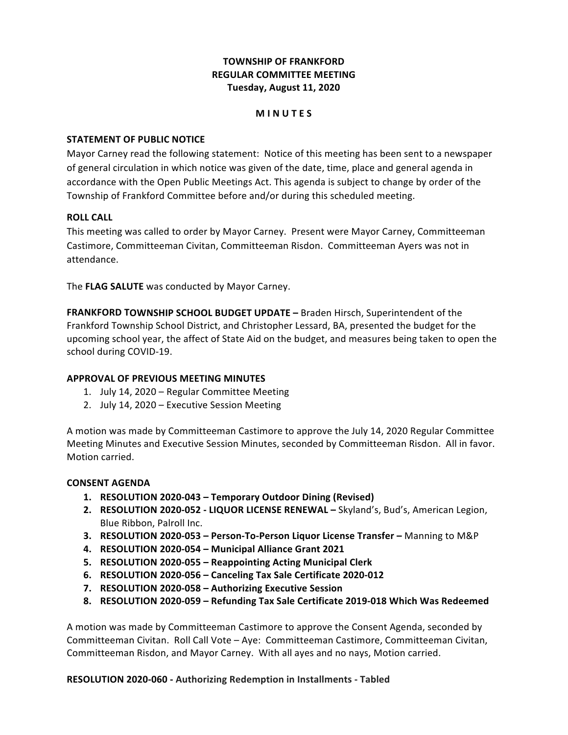## **TOWNSHIP OF FRANKFORD REGULAR COMMITTEE MEETING Tuesday, August 11, 2020**

### **M I N U T E S**

### **STATEMENT OF PUBLIC NOTICE**

 Mayor Carney read the following statement: Notice of this meeting has been sent to a newspaper of general circulation in which notice was given of the date, time, place and general agenda in accordance with the Open Public Meetings Act. This agenda is subject to change by order of the Township of Frankford Committee before and/or during this scheduled meeting.

### **ROLL CALL**

 This meeting was called to order by Mayor Carney. Present were Mayor Carney, Committeeman Castimore, Committeeman Civitan, Committeeman Risdon. Committeeman Ayers was not in attendance.

 The **FLAG SALUTE** was conducted by Mayor Carney.

**FRANKFORD TOWNSHIP SCHOOL BUDGET UPDATE** - Braden Hirsch, Superintendent of the Frankford Township School District, and Christopher Lessard, BA, presented the budget for the upcoming school year, the affect of State Aid on the budget, and measures being taken to open the school during COVID-19.

### **APPROVAL OF PREVIOUS MEETING MINUTES**

- 1. July 14, 2020 Regular Committee Meeting
- 2. July 14, 2020 Executive Session Meeting

A motion was made by Committeeman Castimore to approve the July 14, 2020 Regular Committee Meeting Minutes and Executive Session Minutes, seconded by Committeeman Risdon. All in favor. Motion carried.

#### **CONSENT AGENDA**

- **1. RESOLUTION 2020-043 – Temporary Outdoor Dining (Revised)**
- 2. RESOLUTION 2020-052 LIQUOR LICENSE RENEWAL Skyland's, Bud's, American Legion, Blue Ribbon, Palroll Inc.
- **3. RESOLUTION 2020-053 – Person-To-Person Liquor License Transfer –** Manning to M&P
- **4. RESOLUTION 2020-054 – Municipal Alliance Grant 2021**
- **5. RESOLUTION 2020-055 – Reappointing Acting Municipal Clerk**
- **6. RESOLUTION 2020-056 – Canceling Tax Sale Certificate 2020-012**
- **7. RESOLUTION 2020-058 – Authorizing Executive Session**
- **8. RESOLUTION 2020-059 – Refunding Tax Sale Certificate 2019-018 Which Was Redeemed**

A motion was made by Committeeman Castimore to approve the Consent Agenda, seconded by Committeeman Civitan. Roll Call Vote - Aye: Committeeman Castimore, Committeeman Civitan, Committeeman Risdon, and Mayor Carney. With all ayes and no nays, Motion carried.

 **RESOLUTION 2020-060 - Authorizing Redemption in Installments - Tabled**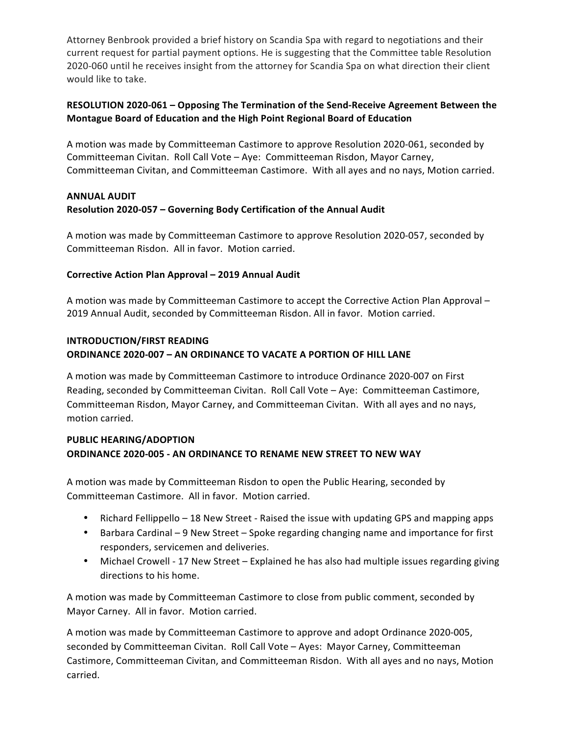Attorney Benbrook provided a brief history on Scandia Spa with regard to negotiations and their current request for partial payment options. He is suggesting that the Committee table Resolution 2020-060 until he receives insight from the attorney for Scandia Spa on what direction their client would like to take.

## **RESOLUTION** 2020-061 - Opposing The Termination of the Send-Receive Agreement Between the  **Montague Board of Education and the High Point Regional Board of Education**

A motion was made by Committeeman Castimore to approve Resolution 2020-061, seconded by Committeeman Civitan. Roll Call Vote - Aye: Committeeman Risdon, Mayor Carney, Committeeman Civitan, and Committeeman Castimore. With all ayes and no nays, Motion carried.

## **Resolution 2020-057 – Governing Body Certification of the Annual Audit ANNUAL AUDIT**

A motion was made by Committeeman Castimore to approve Resolution 2020-057, seconded by Committeeman Risdon. All in favor. Motion carried.

## **Corrective Action Plan Approval – 2019 Annual Audit**

A motion was made by Committeeman Castimore to accept the Corrective Action Plan Approval – 2019 Annual Audit, seconded by Committeeman Risdon. All in favor. Motion carried.

# **ORDINANCE 2020-007 – AN ORDINANCE TO VACATE A PORTION OF HILL LANE INTRODUCTION/FIRST READING**

A motion was made by Committeeman Castimore to introduce Ordinance 2020-007 on First Reading, seconded by Committeeman Civitan. Roll Call Vote - Aye: Committeeman Castimore, Committeeman Risdon, Mayor Carney, and Committeeman Civitan. With all ayes and no nays, motion carried.

## **ORDINANCE 2020-005 - AN ORDINANCE TO RENAME NEW STREET TO NEW WAY PUBLIC HEARING/ADOPTION**

A motion was made by Committeeman Risdon to open the Public Hearing, seconded by Committeeman Castimore. All in favor. Motion carried.

- Richard Fellippello 18 New Street Raised the issue with updating GPS and mapping apps
- Barbara Cardinal 9 New Street Spoke regarding changing name and importance for first responders, servicemen and deliveries.
- Michael Crowell 17 New Street Explained he has also had multiple issues regarding giving directions to his home.

A motion was made by Committeeman Castimore to close from public comment, seconded by Mayor Carney. All in favor. Motion carried.

A motion was made by Committeeman Castimore to approve and adopt Ordinance 2020-005, seconded by Committeeman Civitan. Roll Call Vote – Ayes: Mayor Carney, Committeeman Castimore, Committeeman Civitan, and Committeeman Risdon. With all ayes and no nays, Motion carried.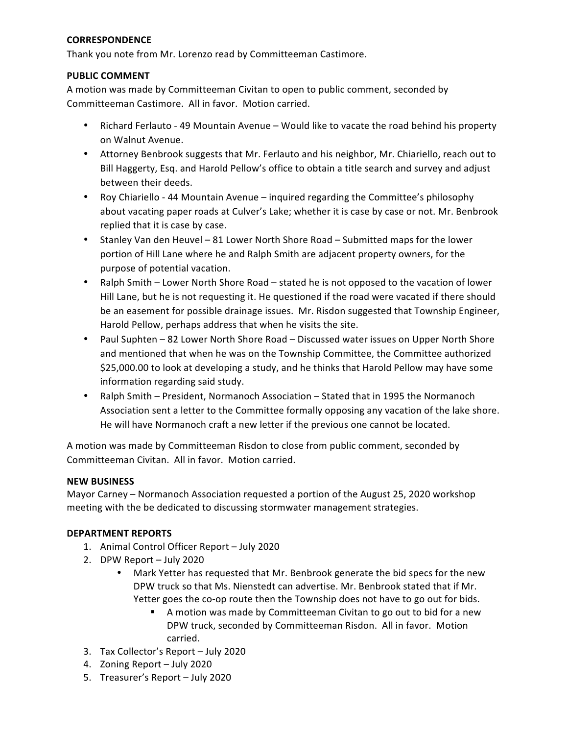### **CORRESPONDENCE**

 Thank you note from Mr. Lorenzo read by Committeeman Castimore.

### **PUBLIC COMMENT**

A motion was made by Committeeman Civitan to open to public comment, seconded by Committeeman Castimore. All in favor. Motion carried.

- Richard Ferlauto 49 Mountain Avenue Would like to vacate the road behind his property on Walnut Avenue.
- Attorney Benbrook suggests that Mr. Ferlauto and his neighbor, Mr. Chiariello, reach out to Bill Haggerty, Esq. and Harold Pellow's office to obtain a title search and survey and adjust between their deeds.
- Roy Chiariello 44 Mountain Avenue inquired regarding the Committee's philosophy about vacating paper roads at Culver's Lake; whether it is case by case or not. Mr. Benbrook replied that it is case by case.
- Stanley Van den Heuvel 81 Lower North Shore Road Submitted maps for the lower portion of Hill Lane where he and Ralph Smith are adjacent property owners, for the purpose of potential vacation.
- Ralph Smith Lower North Shore Road stated he is not opposed to the vacation of lower Hill Lane, but he is not requesting it. He questioned if the road were vacated if there should be an easement for possible drainage issues. Mr. Risdon suggested that Township Engineer, Harold Pellow, perhaps address that when he visits the site.
- Paul Suphten 82 Lower North Shore Road Discussed water issues on Upper North Shore and mentioned that when he was on the Township Committee, the Committee authorized \$25,000.00 to look at developing a study, and he thinks that Harold Pellow may have some information regarding said study.
- Ralph Smith President, Normanoch Association Stated that in 1995 the Normanoch Association sent a letter to the Committee formally opposing any vacation of the lake shore. He will have Normanoch craft a new letter if the previous one cannot be located.

A motion was made by Committeeman Risdon to close from public comment, seconded by Committeeman Civitan. All in favor. Motion carried.

## **NEW BUSINESS**

Mayor Carney - Normanoch Association requested a portion of the August 25, 2020 workshop meeting with the be dedicated to discussing stormwater management strategies.

## **DEPARTMENT REPORTS**

- 1. Animal Control Officer Report July 2020
- 2. DPW Report July 2020
	- Mark Yetter has requested that Mr. Benbrook generate the bid specs for the new DPW truck so that Ms. Nienstedt can advertise. Mr. Benbrook stated that if Mr. Yetter goes the co-op route then the Township does not have to go out for bids.
		- **E** A motion was made by Committeeman Civitan to go out to bid for a new DPW truck, seconded by Committeeman Risdon. All in favor. Motion carried.
- 3. Tax Collector's Report July 2020
- 4. Zoning Report July 2020
- 5. Treasurer's Report July 2020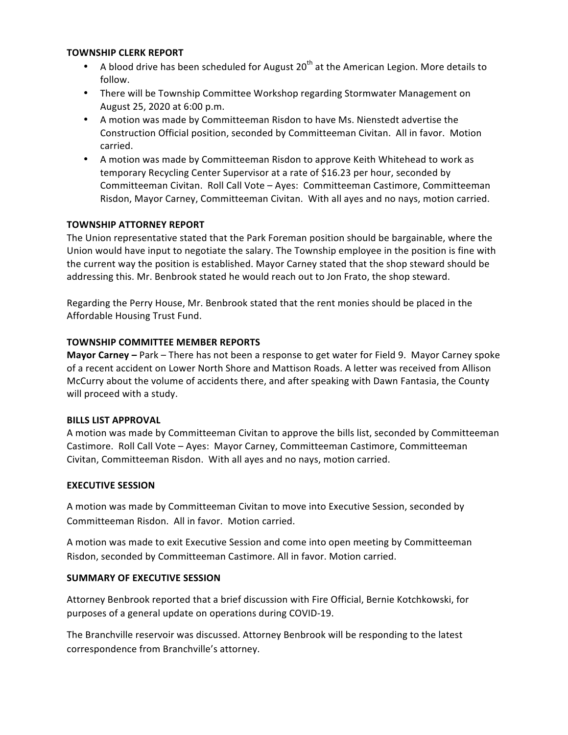### **TOWNSHIP CLERK REPORT**

- A blood drive has been scheduled for August  $20^{th}$  at the American Legion. More details to follow.
- • There will be Township Committee Workshop regarding Stormwater Management on August 25, 2020 at 6:00 p.m.
- A motion was made by Committeeman Risdon to have Ms. Nienstedt advertise the Construction Official position, seconded by Committeeman Civitan. All in favor. Motion carried.
- A motion was made by Committeeman Risdon to approve Keith Whitehead to work as temporary Recycling Center Supervisor at a rate of \$16.23 per hour, seconded by Committeeman Civitan. Roll Call Vote - Ayes: Committeeman Castimore, Committeeman Risdon, Mayor Carney, Committeeman Civitan. With all ayes and no nays, motion carried.

## **TOWNSHIP ATTORNEY REPORT**

 The Union representative stated that the Park Foreman position should be bargainable, where the Union would have input to negotiate the salary. The Township employee in the position is fine with the current way the position is established. Mayor Carney stated that the shop steward should be addressing this. Mr. Benbrook stated he would reach out to Jon Frato, the shop steward.

Regarding the Perry House, Mr. Benbrook stated that the rent monies should be placed in the Affordable Housing Trust Fund.

## **TOWNSHIP COMMITTEE MEMBER REPORTS**

**Mayor Carney** – Park – There has not been a response to get water for Field 9. Mayor Carney spoke of a recent accident on Lower North Shore and Mattison Roads. A letter was received from Allison McCurry about the volume of accidents there, and after speaking with Dawn Fantasia, the County will proceed with a study.

### **BILLS LIST APPROVAL**

A motion was made by Committeeman Civitan to approve the bills list, seconded by Committeeman Castimore. Roll Call Vote - Ayes: Mayor Carney, Committeeman Castimore, Committeeman Civitan, Committeeman Risdon. With all ayes and no nays, motion carried.

### **EXECUTIVE SESSION**

A motion was made by Committeeman Civitan to move into Executive Session, seconded by Committeeman Risdon. All in favor. Motion carried.

A motion was made to exit Executive Session and come into open meeting by Committeeman Risdon, seconded by Committeeman Castimore. All in favor. Motion carried.

## **SUMMARY OF EXECUTIVE SESSION**

Attorney Benbrook reported that a brief discussion with Fire Official, Bernie Kotchkowski, for purposes of a general update on operations during COVID-19.

 The Branchville reservoir was discussed. Attorney Benbrook will be responding to the latest correspondence from Branchville's attorney.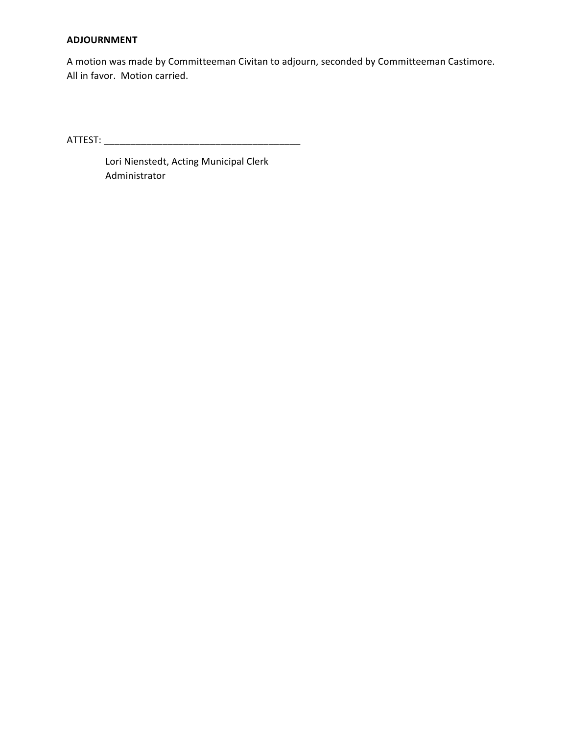### **ADJOURNMENT**

A motion was made by Committeeman Civitan to adjourn, seconded by Committeeman Castimore. All in favor. Motion carried.

ATTEST: \_\_\_\_\_\_\_\_\_\_\_\_\_\_\_\_\_\_\_\_\_\_\_\_\_\_\_\_\_\_\_\_\_\_\_\_\_

Lori Nienstedt, Acting Municipal Clerk Administrator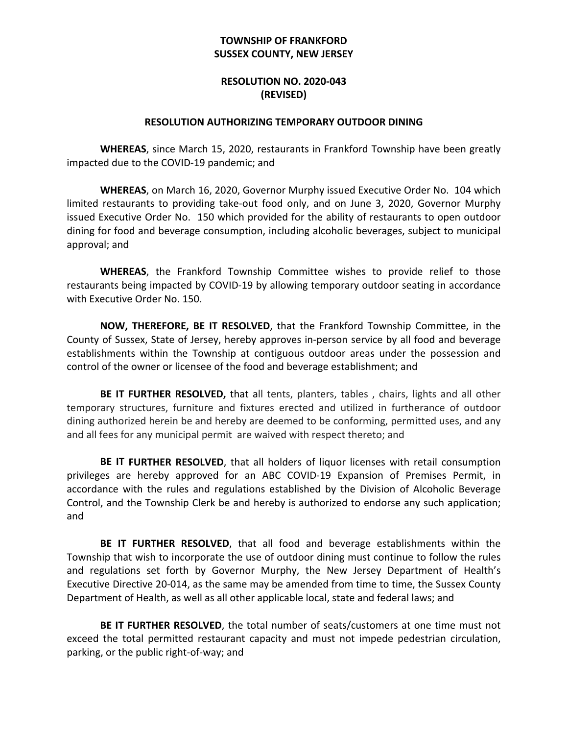# **SUSSEX COUNTY, NEW JERSEY TOWNSHIP OF FRANKFORD**

## **RESOLUTION NO. 2020-043 (REVISED)**

### **RESOLUTION AUTHORIZING TEMPORARY OUTDOOR DINING**

WHEREAS, since March 15, 2020, restaurants in Frankford Township have been greatly impacted due to the COVID-19 pandemic; and

 **WHEREAS**, on March 16, 2020, Governor Murphy issued Executive Order No. 104 which limited restaurants to providing take-out food only, and on June 3, 2020, Governor Murphy issued Executive Order No. 150 which provided for the ability of restaurants to open outdoor dining for food and beverage consumption, including alcoholic beverages, subject to municipal approval; and

 **WHEREAS**, the Frankford Township Committee wishes to provide relief to those restaurants being impacted by COVID-19 by allowing temporary outdoor seating in accordance with Executive Order No. 150.

**NOW, THEREFORE, BE IT RESOLVED**, that the Frankford Township Committee, in the County of Sussex, State of Jersey, hereby approves in-person service by all food and beverage establishments within the Township at contiguous outdoor areas under the possession and control of the owner or licensee of the food and beverage establishment; and

BE IT FURTHER RESOLVED, that all tents, planters, tables, chairs, lights and all other temporary structures, furniture and fixtures erected and utilized in furtherance of outdoor dining authorized herein be and hereby are deemed to be conforming, permitted uses, and any and all fees for any municipal permit are waived with respect thereto; and

**BE IT FURTHER RESOLVED**, that all holders of liquor licenses with retail consumption privileges are hereby approved for an ABC COVID-19 Expansion of Premises Permit, in accordance with the rules and regulations established by the Division of Alcoholic Beverage Control, and the Township Clerk be and hereby is authorized to endorse any such application; and

BE IT FURTHER RESOLVED, that all food and beverage establishments within the Township that wish to incorporate the use of outdoor dining must continue to follow the rules and regulations set forth by Governor Murphy, the New Jersey Department of Health's Executive Directive 20-014, as the same may be amended from time to time, the Sussex County Department of Health, as well as all other applicable local, state and federal laws; and

BE IT FURTHER RESOLVED, the total number of seats/customers at one time must not exceed the total permitted restaurant capacity and must not impede pedestrian circulation, parking, or the public right-of-way; and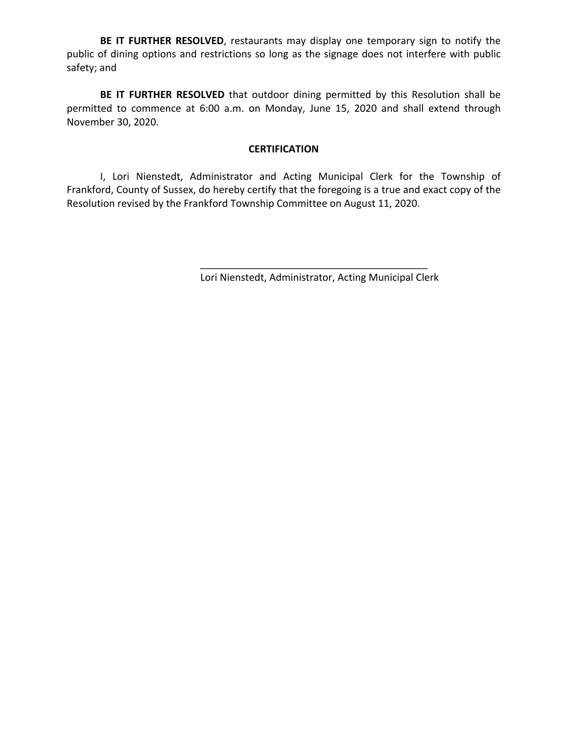BE IT FURTHER RESOLVED, restaurants may display one temporary sign to notify the public of dining options and restrictions so long as the signage does not interfere with public safety; and

BE IT FURTHER RESOLVED that outdoor dining permitted by this Resolution shall be permitted to commence at 6:00 a.m. on Monday, June 15, 2020 and shall extend through November 30, 2020.

## **CERTIFICATION**

 I, Lori Nienstedt, Administrator and Acting Municipal Clerk for the Township of Frankford, County of Sussex, do hereby certify that the foregoing is a true and exact copy of the Resolution revised by the Frankford Township Committee on August 11, 2020.

 Lori Nienstedt, Administrator, Acting Municipal Clerk

\_\_\_\_\_\_\_\_\_\_\_\_\_\_\_\_\_\_\_\_\_\_\_\_\_\_\_\_\_\_\_\_\_\_\_\_\_\_\_\_\_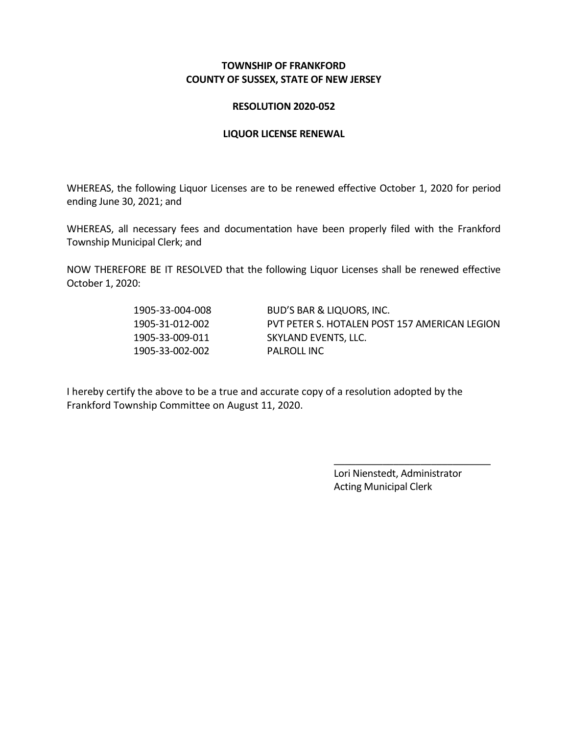## **TOWNSHIP OF FRANKFORD COUNTY OF SUSSEX, STATE OF NEW JERSEY**

## **RESOLUTION 2020-052**

## **LIQUOR LICENSE RENEWAL**

WHEREAS, the following Liquor Licenses are to be renewed effective October 1, 2020 for period ending June 30, 2021; and

WHEREAS, all necessary fees and documentation have been properly filed with the Frankford Township Municipal Clerk; and

 NOW THEREFORE BE IT RESOLVED that the following Liquor Licenses shall be renewed effective October 1, 2020:

1905-33-002-002 PALROLL INC

1905-33-004-008 BUD'S BAR & LIQUORS, INC. 1905-31-012-002 PVT PETER S. HOTALEN POST 157 AMERICAN LEGION 1905-33-009-011 SKYLAND EVENTS, LLC.

I hereby certify the above to be a true and accurate copy of a resolution adopted by the Frankford Township Committee on August 11, 2020.

> Lori Nienstedt, Administrator Acting Municipal Clerk

\_\_\_\_\_\_\_\_\_\_\_\_\_\_\_\_\_\_\_\_\_\_\_\_\_\_\_\_\_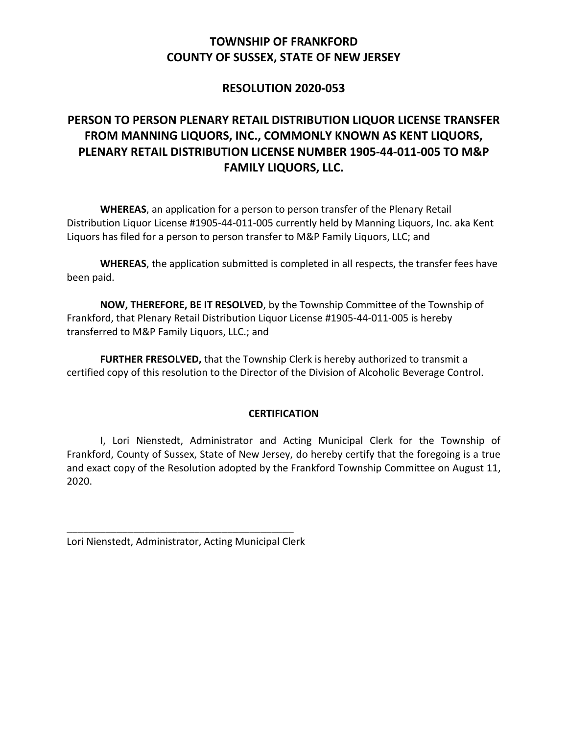# **TOWNSHIP OF FRANKFORD COUNTY OF SUSSEX, STATE OF NEW JERSEY**

# **RESOLUTION 2020-053**

# **FROM MANNING LIQUORS, INC., COMMONLY KNOWN AS KENT LIQUORS, PERSON TO PERSON PLENARY RETAIL DISTRIBUTION LIQUOR LICENSE TRANSFER PLENARY RETAIL DISTRIBUTION LICENSE NUMBER 1905-44-011-005 TO M&P FAMILY LIQUORS, LLC.**

WHEREAS, an application for a person to person transfer of the Plenary Retail Distribution Liquor License #1905-44-011-005 currently held by Manning Liquors, Inc. aka Kent Liquors has filed for a person to person transfer to M&P Family Liquors, LLC; and

**WHEREAS**, the application submitted is completed in all respects, the transfer fees have been paid.

**NOW, THEREFORE, BE IT RESOLVED**, by the Township Committee of the Township of transferred to M&P Family Liquors, LLC.; and Frankford, that Plenary Retail Distribution Liquor License #1905-44-011-005 is hereby

FURTHER FRESOLVED, that the Township Clerk is hereby authorized to transmit a certified copy of this resolution to the Director of the Division of Alcoholic Beverage Control.

## **CERTIFICATION**

I, Lori Nienstedt, Administrator and Acting Municipal Clerk for the Township of Frankford, County of Sussex, State of New Jersey, do hereby certify that the foregoing is a true and exact copy of the Resolution adopted by the Frankford Township Committee on August 11, 2020.

Lori Nienstedt, Administrator, Acting Municipal Clerk \_\_\_\_\_\_\_\_\_\_\_\_\_\_\_\_\_\_\_\_\_\_\_\_\_\_\_\_\_\_\_\_\_\_\_\_\_\_\_\_\_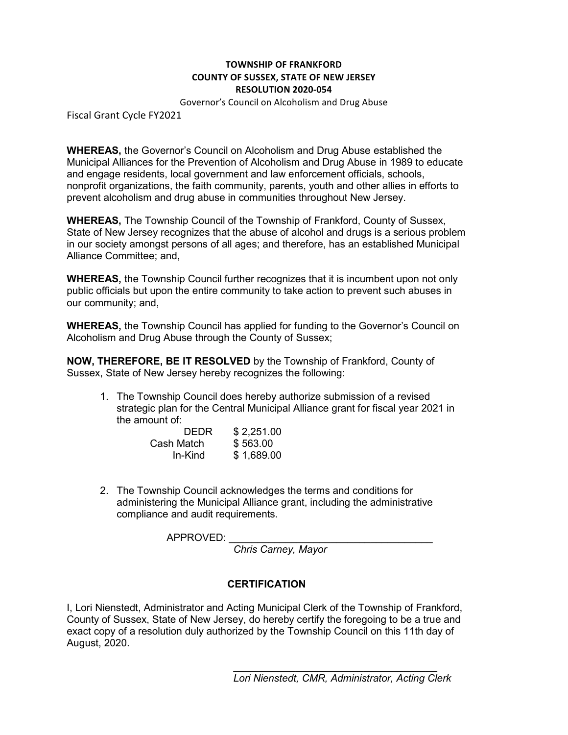# **TOWNSHIP OF FRANKFORD TOWNSHIP OF FRANKFORD COUNTY OF SUSSEX, STATE OF NEW JERSEY COUNTY OF SUSSEX, STATE OF NEW JERSEY RESOLUTION 2020-054 RESOLUTION 2020-054**

 Governor's Council on Alcoholism and Drug Abuse Governor's Council on Alcoholism and Drug Abuse

Fiscal Grant Cycle FY2021

 **WHEREAS,** the Governor's Council on Alcoholism and Drug Abuse established the Municipal Alliances for the Prevention of Alcoholism and Drug Abuse in 1989 to educate and engage residents, local government and law enforcement officials, schools, nonprofit organizations, the faith community, parents, youth and other allies in efforts to prevent alcoholism and drug abuse in communities throughout New Jersey.

 **WHEREAS,** The Township Council of the Township of Frankford, County of Sussex, State of New Jersey recognizes that the abuse of alcohol and drugs is a serious problem in our society amongst persons of all ages; and therefore, has an established Municipal Alliance Committee; and,

 **WHEREAS,** the Township Council further recognizes that it is incumbent upon not only public officials but upon the entire community to take action to prevent such abuses in our community; and,

 **WHEREAS,** the Township Council has applied for funding to the Governor's Council on Alcoholism and Drug Abuse through the County of Sussex;

 **NOW, THEREFORE, BE IT RESOLVED** by the Township of Frankford, County of Sussex, State of New Jersey hereby recognizes the following:

1. The Township Council does hereby authorize submission of a revised the amount of: strategic plan for the Central Municipal Alliance grant for fiscal year 2021 in

| <b>DEDR</b> | \$2,251.00 |
|-------------|------------|
| Cash Match  | \$563.00   |
| In-Kind     | \$1,689.00 |

2. The Township Council acknowledges the terms and conditions for administering the Municipal Alliance grant, including the administrative compliance and audit requirements.

APPROVED:

 *Chris Carney, Mayor* 

## **CERTIFICATION**

 I, Lori Nienstedt, Administrator and Acting Municipal Clerk of the Township of Frankford, County of Sussex, State of New Jersey, do hereby certify the foregoing to be a true and exact copy of a resolution duly authorized by the Township Council on this 11th day of August, 2020.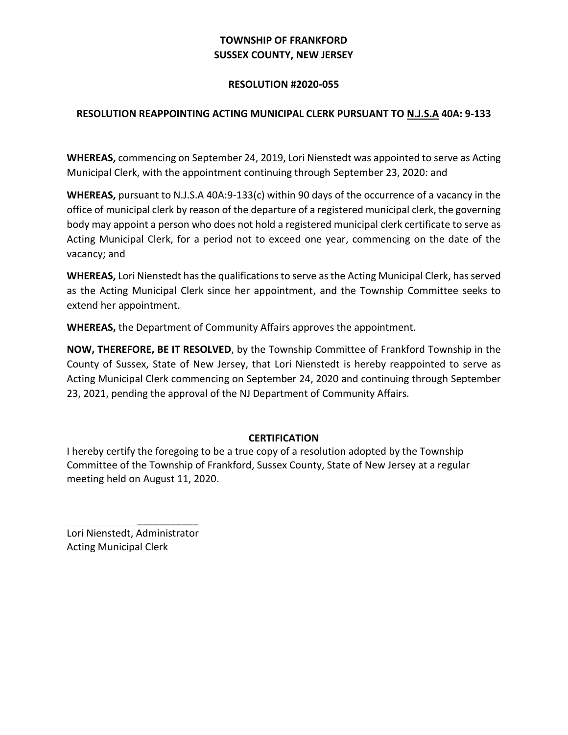# **TOWNSHIP OF FRANKFORD SUSSEX COUNTY, NEW JERSEY**

## **RESOLUTION #2020-055**

# **RESOLUTION REAPPOINTING ACTING MUNICIPAL CLERK PURSUANT TO N.J.S.A 40A: 9-133**

WHEREAS, commencing on September 24, 2019, Lori Nienstedt was appointed to serve as Acting Municipal Clerk, with the appointment continuing through September 23, 2020: and

WHEREAS, pursuant to N.J.S.A 40A:9-133(c) within 90 days of the occurrence of a vacancy in the office of municipal clerk by reason of the departure of a registered municipal clerk, the governing body may appoint a person who does not hold a registered municipal clerk certificate to serve as Acting Municipal Clerk, for a period not to exceed one year, commencing on the date of the vacancy; and

WHEREAS, Lori Nienstedt has the qualifications to serve as the Acting Municipal Clerk, has served as the Acting Municipal Clerk since her appointment, and the Township Committee seeks to extend her appointment. 

WHEREAS, the Department of Community Affairs approves the appointment.

**NOW, THEREFORE, BE IT RESOLVED**, by the Township Committee of Frankford Township in the County of Sussex, State of New Jersey, that Lori Nienstedt is hereby reappointed to serve as Acting Municipal Clerk commencing on September 24, 2020 and continuing through September 23, 2021, pending the approval of the NJ Department of Community Affairs.

## **CERTIFICATION**

I hereby certify the foregoing to be a true copy of a resolution adopted by the Township Committee of the Township of Frankford, Sussex County, State of New Jersey at a regular meeting held on August 11, 2020.

Acting Municipal Clerk Lori Nienstedt, Administrator

 $\mathcal{L}_\text{max}$  and  $\mathcal{L}_\text{max}$  and  $\mathcal{L}_\text{max}$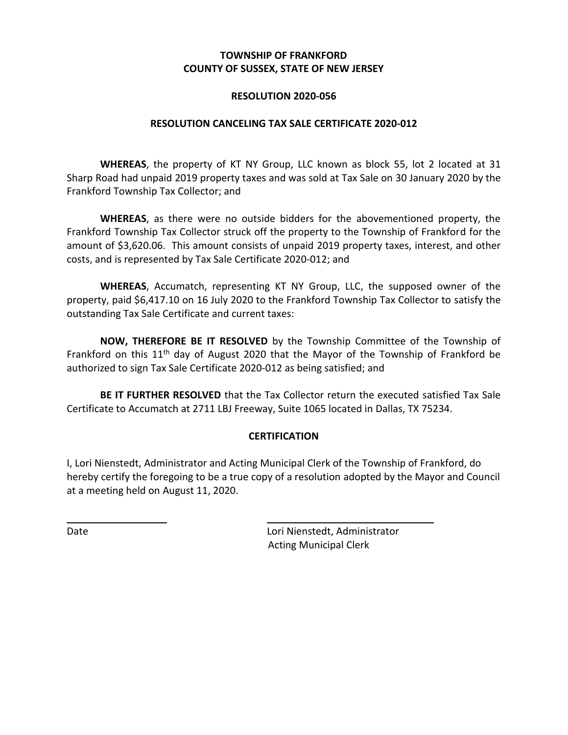## **TOWNSHIP OF FRANKFORD COUNTY OF SUSSEX, STATE OF NEW JERSEY**

## **RESOLUTION 2020-056**

## **RESOLUTION CANCELING TAX SALE CERTIFICATE 2020-012**

WHEREAS, the property of KT NY Group, LLC known as block 55, lot 2 located at 31 Sharp Road had unpaid 2019 property taxes and was sold at Tax Sale on 30 January 2020 by the Frankford Township Tax Collector; and

WHEREAS, as there were no outside bidders for the abovementioned property, the Frankford Township Tax Collector struck off the property to the Township of Frankford for the amount of \$3,620.06. This amount consists of unpaid 2019 property taxes, interest, and other costs, and is represented by Tax Sale Certificate 2020-012; and

WHEREAS, Accumatch, representing KT NY Group, LLC, the supposed owner of the property, paid \$6,417.10 on 16 July 2020 to the Frankford Township Tax Collector to satisfy the outstanding Tax Sale Certificate and current taxes:

**NOW, THEREFORE BE IT RESOLVED** by the Township Committee of the Township of Frankford on this 11<sup>th</sup> day of August 2020 that the Mayor of the Township of Frankford be authorized to sign Tax Sale Certificate 2020-012 as being satisfied; and

BE IT FURTHER RESOLVED that the Tax Collector return the executed satisfied Tax Sale Certificate to Accumatch at 2711 LBJ Freeway, Suite 1065 located in Dallas, TX 75234.

## **CERTIFICATION**

I, Lori Nienstedt, Administrator and Acting Municipal Clerk of the Township of Frankford, do hereby certify the foregoing to be a true copy of a resolution adopted by the Mayor and Council at a meeting held on August 11, 2020.

Date **Date Lori Nienstedt, Administrator** Acting Municipal Clerk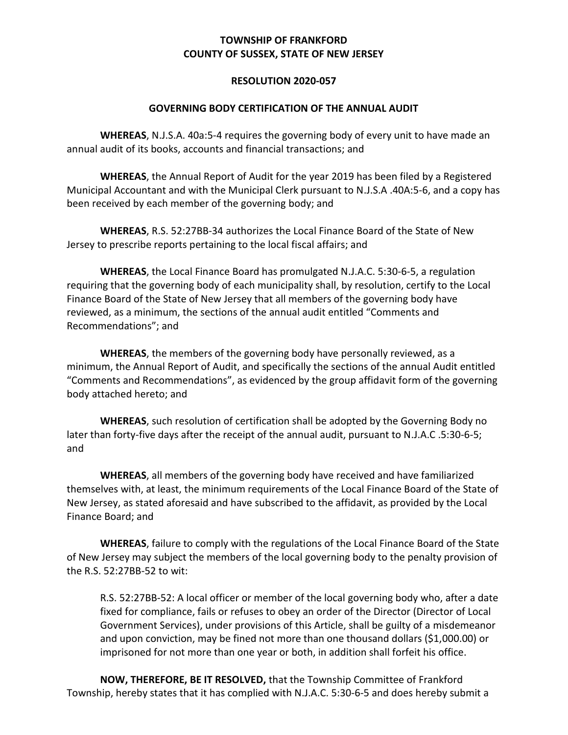# **TOWNSHIP OF FRANKFORD COUNTY OF SUSSEX, STATE OF NEW JERSEY**

## **RESOLUTION 2020-057**

## **GOVERNING BODY CERTIFICATION OF THE ANNUAL AUDIT**

WHEREAS, N.J.S.A. 40a:5-4 requires the governing body of every unit to have made an annual audit of its books, accounts and financial transactions; and

WHEREAS, the Annual Report of Audit for the year 2019 has been filed by a Registered Municipal Accountant and with the Municipal Clerk pursuant to N.J.S.A .40A:5-6, and a copy has been received by each member of the governing body; and

WHEREAS, R.S. 52:27BB-34 authorizes the Local Finance Board of the State of New Jersey to prescribe reports pertaining to the local fiscal affairs; and

WHEREAS, the Local Finance Board has promulgated N.J.A.C. 5:30-6-5, a regulation requiring that the governing body of each municipality shall, by resolution, certify to the Local Finance Board of the State of New Jersey that all members of the governing body have reviewed, as a minimum, the sections of the annual audit entitled "Comments and Recommendations"; and

WHEREAS, the members of the governing body have personally reviewed, as a minimum, the Annual Report of Audit, and specifically the sections of the annual Audit entitled body attached hereto; and "Comments and Recommendations", as evidenced by the group affidavit form of the governing

WHEREAS, such resolution of certification shall be adopted by the Governing Body no later than forty-five days after the receipt of the annual audit, pursuant to N.J.A.C .5:30-6-5; and

WHEREAS, all members of the governing body have received and have familiarized themselves with, at least, the minimum requirements of the Local Finance Board of the State of New Jersey, as stated aforesaid and have subscribed to the affidavit, as provided by the Local Finance Board; and

WHEREAS, failure to comply with the regulations of the Local Finance Board of the State of New Jersey may subject the members of the local governing body to the penalty provision of the R.S. 52:27BB-52 to wit:

R.S. 52:27BB-52: A local officer or member of the local governing body who, after a date fixed for compliance, fails or refuses to obey an order of the Director (Director of Local Government Services), under provisions of this Article, shall be guilty of a misdemeanor and upon conviction, may be fined not more than one thousand dollars (\$1,000.00) or imprisoned for not more than one year or both, in addition shall forfeit his office.

**NOW, THEREFORE, BE IT RESOLVED, that the Township Committee of Frankford** Township, hereby states that it has complied with N.J.A.C. 5:30-6-5 and does hereby submit a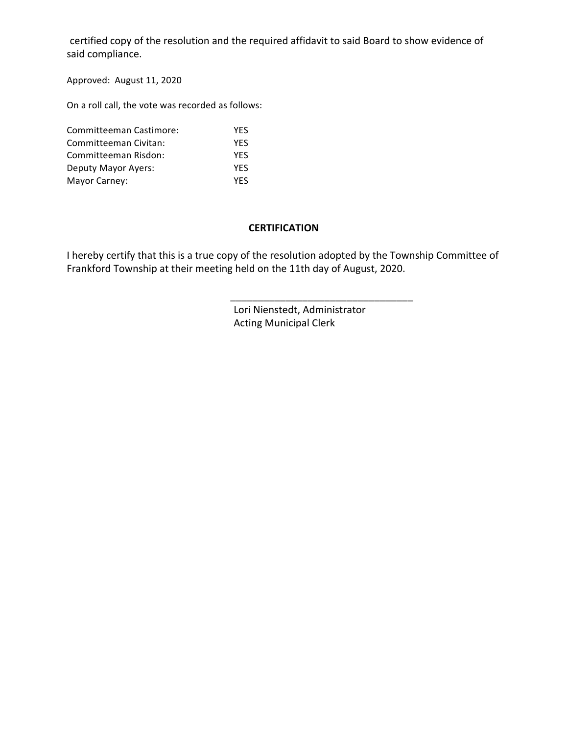certified copy of the resolution and the required affidavit to said Board to show evidence of said compliance.

 Approved: August 11, 2020

 On a roll call, the vote was recorded as follows:

| Committeeman Castimore: | <b>YFS</b> |
|-------------------------|------------|
| Committeeman Civitan:   | <b>YFS</b> |
| Committeeman Risdon:    | <b>YFS</b> |
| Deputy Mayor Ayers:     | <b>YFS</b> |
| Mayor Carney:           | <b>YFS</b> |

### **CERTIFICATION**

I hereby certify that this is a true copy of the resolution adopted by the Township Committee of Frankford Township at their meeting held on the 11th day of August, 2020.

 $\overline{\phantom{a}}$  ,  $\overline{\phantom{a}}$  ,  $\overline{\phantom{a}}$  ,  $\overline{\phantom{a}}$  ,  $\overline{\phantom{a}}$  ,  $\overline{\phantom{a}}$  ,  $\overline{\phantom{a}}$  ,  $\overline{\phantom{a}}$  ,  $\overline{\phantom{a}}$  ,  $\overline{\phantom{a}}$  ,  $\overline{\phantom{a}}$  ,  $\overline{\phantom{a}}$  ,  $\overline{\phantom{a}}$  ,  $\overline{\phantom{a}}$  ,  $\overline{\phantom{a}}$  ,  $\overline{\phantom{a}}$ 

 Lori Nienstedt, Administrator Acting Municipal Clerk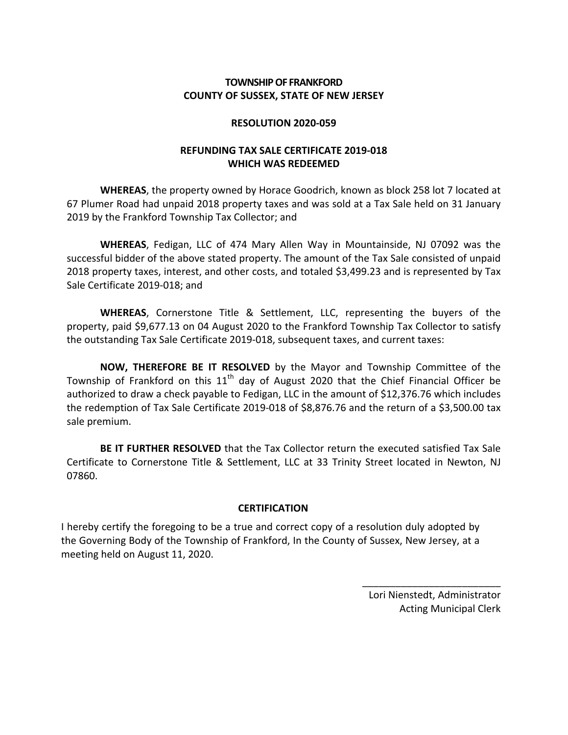# **COUNTY OF SUSSEX, STATE OF NEW JERSEY TOWNSHIP OF FRANKFORD**

## **RESOLUTION 2020-059**

# **REFUNDING TAX SALE CERTIFICATE 2019-018 WHICH WAS REDEEMED**

WHEREAS, the property owned by Horace Goodrich, known as block 258 lot 7 located at 67 Plumer Road had unpaid 2018 property taxes and was sold at a Tax Sale held on 31 January 2019 by the Frankford Township Tax Collector; and

 **WHEREAS**, Fedigan, LLC of 474 Mary Allen Way in Mountainside, NJ 07092 was the successful bidder of the above stated property. The amount of the Tax Sale consisted of unpaid 2018 property taxes, interest, and other costs, and totaled \$3,499.23 and is represented by Tax Sale Certificate 2019-018; and

 **WHEREAS**, Cornerstone Title & Settlement, LLC, representing the buyers of the property, paid \$9,677.13 on 04 August 2020 to the Frankford Township Tax Collector to satisfy the outstanding Tax Sale Certificate 2019-018, subsequent taxes, and current taxes:

**NOW, THEREFORE BE IT RESOLVED** by the Mayor and Township Committee of the Township of Frankford on this  $11^{\text{th}}$  day of August 2020 that the Chief Financial Officer be authorized to draw a check payable to Fedigan, LLC in the amount of \$12,376.76 which includes the redemption of Tax Sale Certificate 2019-018 of \$8,876.76 and the return of a \$3,500.00 tax sale premium.

BE IT FURTHER RESOLVED that the Tax Collector return the executed satisfied Tax Sale Certificate to Cornerstone Title & Settlement, LLC at 33 Trinity Street located in Newton, NJ 07860.

# **CERTIFICATION**

I hereby certify the foregoing to be a true and correct copy of a resolution duly adopted by the Governing Body of the Township of Frankford, In the County of Sussex, New Jersey, at a meeting held on August 11, 2020.

> Lori Nienstedt, Administrator Acting Municipal Clerk

\_\_\_\_\_\_\_\_\_\_\_\_\_\_\_\_\_\_\_\_\_\_\_\_\_